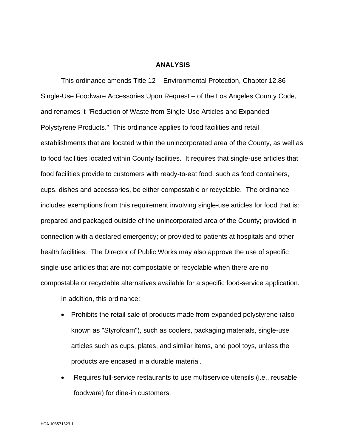#### **ANALYSIS**

This ordinance amends Title 12 – Environmental Protection, Chapter 12.86 – Single-Use Foodware Accessories Upon Request – of the Los Angeles County Code, and renames it "Reduction of Waste from Single-Use Articles and Expanded Polystyrene Products." This ordinance applies to food facilities and retail establishments that are located within the unincorporated area of the County, as well as to food facilities located within County facilities. It requires that single-use articles that food facilities provide to customers with ready-to-eat food, such as food containers, cups, dishes and accessories, be either compostable or recyclable. The ordinance includes exemptions from this requirement involving single-use articles for food that is: prepared and packaged outside of the unincorporated area of the County; provided in connection with a declared emergency; or provided to patients at hospitals and other health facilities. The Director of Public Works may also approve the use of specific single-use articles that are not compostable or recyclable when there are no compostable or recyclable alternatives available for a specific food-service application.

In addition, this ordinance:

- Prohibits the retail sale of products made from expanded polystyrene (also known as "Styrofoam"), such as coolers, packaging materials, single-use articles such as cups, plates, and similar items, and pool toys, unless the products are encased in a durable material.
- Requires full-service restaurants to use multiservice utensils (i.e., reusable foodware) for dine-in customers.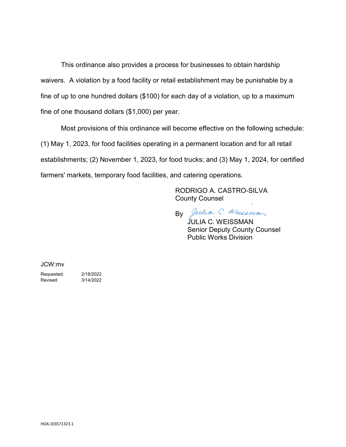This ordinance also provides a process for businesses to obtain hardship waivers. A violation by a food facility or retail establishment may be punishable by a fine of up to one hundred dollars (\$100) for each day of a violation, up to a maximum fine of one thousand dollars (\$1,000) per year.

Most provisions of this ordinance will become effective on the following schedule: (1) May 1, 2023, for food facilities operating in a permanent location and for all retail establishments; (2) November 1, 2023, for food trucks; and (3) May 1, 2024, for certified farmers' markets, temporary food facilities, and catering operations.

> RODRIGO A. CASTRO-SILVA County Counsel

By Julia C. Weissnon JULIA C. WEISSMAN Senior Deputy County Counsel Public Works Division

JCW:mv

Requested: 2/18/2022 Revised: 3/14/2022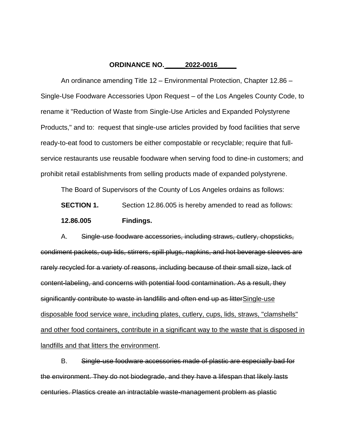#### **ORDINANCE NO. \_\_\_\_\_2022-0016\_\_\_\_\_**

An ordinance amending Title 12 – Environmental Protection, Chapter 12.86 – Single-Use Foodware Accessories Upon Request – of the Los Angeles County Code, to rename it "Reduction of Waste from Single-Use Articles and Expanded Polystyrene Products," and to: request that single-use articles provided by food facilities that serve ready-to-eat food to customers be either compostable or recyclable; require that fullservice restaurants use reusable foodware when serving food to dine-in customers; and prohibit retail establishments from selling products made of expanded polystyrene.

The Board of Supervisors of the County of Los Angeles ordains as follows:

**SECTION 1.** Section 12.86.005 is hereby amended to read as follows:

#### **12.86.005 Findings.**

A. Single-use foodware accessories, including straws, cutlery, chopsticks, condiment packets, cup lids, stirrers, spill plugs, napkins, and hot beverage sleeves are rarely recycled for a variety of reasons, including because of their small size, lack of content-labeling, and concerns with potential food contamination. As a result, they significantly contribute to waste in landfills and often end up as litterSingle-use disposable food service ware, including plates, cutlery, cups, lids, straws, "clamshells" and other food containers, contribute in a significant way to the waste that is disposed in landfills and that litters the environment.

B. Single-use foodware accessories made of plastic are especially bad for the environment. They do not biodegrade, and they have a lifespan that likely lasts centuries. Plastics create an intractable waste-management problem as plastic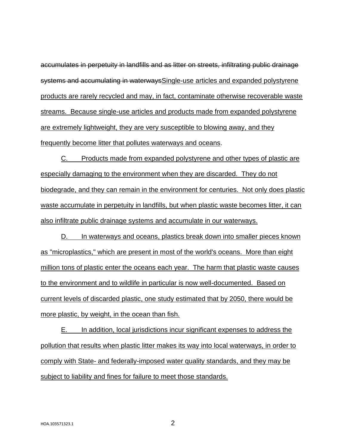accumulates in perpetuity in landfills and as litter on streets, infiltrating public drainage systems and accumulating in waterwaysSingle-use articles and expanded polystyrene products are rarely recycled and may, in fact, contaminate otherwise recoverable waste streams. Because single-use articles and products made from expanded polystyrene are extremely lightweight, they are very susceptible to blowing away, and they frequently become litter that pollutes waterways and oceans.

C. Products made from expanded polystyrene and other types of plastic are especially damaging to the environment when they are discarded. They do not biodegrade, and they can remain in the environment for centuries. Not only does plastic waste accumulate in perpetuity in landfills, but when plastic waste becomes litter, it can also infiltrate public drainage systems and accumulate in our waterways.

D. In waterways and oceans, plastics break down into smaller pieces known as "microplastics," which are present in most of the world's oceans. More than eight million tons of plastic enter the oceans each year. The harm that plastic waste causes to the environment and to wildlife in particular is now well-documented. Based on current levels of discarded plastic, one study estimated that by 2050, there would be more plastic, by weight, in the ocean than fish.

E. In addition, local jurisdictions incur significant expenses to address the pollution that results when plastic litter makes its way into local waterways, in order to comply with State- and federally-imposed water quality standards, and they may be subject to liability and fines for failure to meet those standards.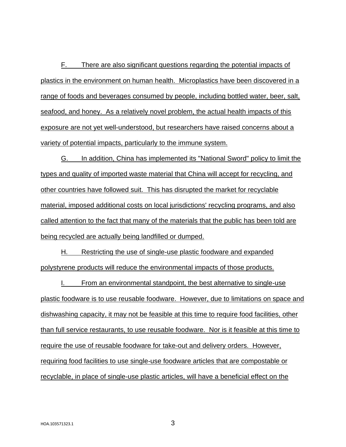F. There are also significant questions regarding the potential impacts of plastics in the environment on human health. Microplastics have been discovered in a range of foods and beverages consumed by people, including bottled water, beer, salt, seafood, and honey. As a relatively novel problem, the actual health impacts of this exposure are not yet well-understood, but researchers have raised concerns about a variety of potential impacts, particularly to the immune system.

G. In addition, China has implemented its "National Sword" policy to limit the types and quality of imported waste material that China will accept for recycling, and other countries have followed suit. This has disrupted the market for recyclable material, imposed additional costs on local jurisdictions' recycling programs, and also called attention to the fact that many of the materials that the public has been told are being recycled are actually being landfilled or dumped.

H. Restricting the use of single-use plastic foodware and expanded polystyrene products will reduce the environmental impacts of those products.

I. From an environmental standpoint, the best alternative to single-use plastic foodware is to use reusable foodware. However, due to limitations on space and dishwashing capacity, it may not be feasible at this time to require food facilities, other than full service restaurants, to use reusable foodware. Nor is it feasible at this time to require the use of reusable foodware for take-out and delivery orders. However, requiring food facilities to use single-use foodware articles that are compostable or recyclable, in place of single-use plastic articles, will have a beneficial effect on the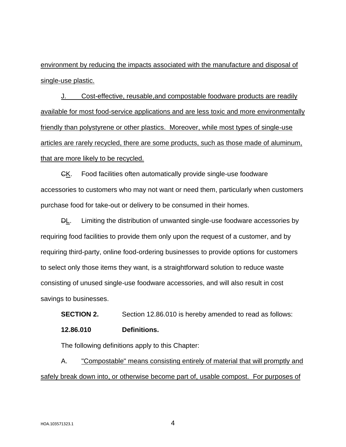environment by reducing the impacts associated with the manufacture and disposal of single-use plastic.

J. Cost-effective, reusable,and compostable foodware products are readily available for most food-service applications and are less toxic and more environmentally friendly than polystyrene or other plastics. Moreover, while most types of single-use articles are rarely recycled, there are some products, such as those made of aluminum, that are more likely to be recycled.

CK. Food facilities often automatically provide single-use foodware accessories to customers who may not want or need them, particularly when customers purchase food for take-out or delivery to be consumed in their homes.

**DL.** Limiting the distribution of unwanted single-use foodware accessories by requiring food facilities to provide them only upon the request of a customer, and by requiring third-party, online food-ordering businesses to provide options for customers to select only those items they want, is a straightforward solution to reduce waste consisting of unused single-use foodware accessories, and will also result in cost savings to businesses.

**SECTION 2.** Section 12.86.010 is hereby amended to read as follows:

**12.86.010 Definitions.**

The following definitions apply to this Chapter:

A. "Compostable" means consisting entirely of material that will promptly and safely break down into, or otherwise become part of, usable compost. For purposes of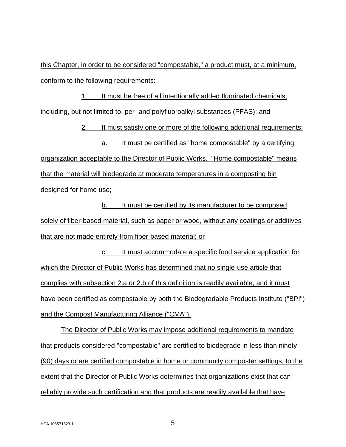this Chapter, in order to be considered "compostable," a product must, at a minimum, conform to the following requirements:

1. It must be free of all intentionally added fluorinated chemicals, including, but not limited to, per- and polyfluoroalkyl substances (PFAS); and

2. It must satisfy one or more of the following additional requirements:

a. It must be certified as "home compostable" by a certifying

organization acceptable to the Director of Public Works. "Home compostable" means that the material will biodegrade at moderate temperatures in a composting bin designed for home use;

b. It must be certified by its manufacturer to be composed solely of fiber-based material, such as paper or wood, without any coatings or additives that are not made entirely from fiber-based material; or

c. It must accommodate a specific food service application for which the Director of Public Works has determined that no single-use article that complies with subsection 2.a or 2.b of this definition is readily available, and it must have been certified as compostable by both the Biodegradable Products Institute ("BPI") and the Compost Manufacturing Alliance ("CMA").

The Director of Public Works may impose additional requirements to mandate that products considered "compostable" are certified to biodegrade in less than ninety (90) days or are certified compostable in home or community composter settings, to the extent that the Director of Public Works determines that organizations exist that can reliably provide such certification and that products are readily available that have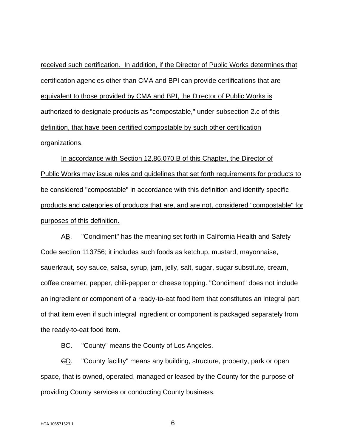received such certification. In addition, if the Director of Public Works determines that certification agencies other than CMA and BPI can provide certifications that are equivalent to those provided by CMA and BPI, the Director of Public Works is authorized to designate products as "compostable," under subsection 2.c of this definition, that have been certified compostable by such other certification organizations.

In accordance with Section 12.86.070.B of this Chapter, the Director of Public Works may issue rules and guidelines that set forth requirements for products to be considered "compostable" in accordance with this definition and identify specific products and categories of products that are, and are not, considered "compostable" for purposes of this definition.

AB. "Condiment" has the meaning set forth in California Health and Safety Code section 113756; it includes such foods as ketchup, mustard, mayonnaise, sauerkraut, soy sauce, salsa, syrup, jam, jelly, salt, sugar, sugar substitute, cream, coffee creamer, pepper, chili-pepper or cheese topping. "Condiment" does not include an ingredient or component of a ready-to-eat food item that constitutes an integral part of that item even if such integral ingredient or component is packaged separately from the ready-to-eat food item.

BC. "County" means the County of Los Angeles.

GD. "County facility" means any building, structure, property, park or open space, that is owned, operated, managed or leased by the County for the purpose of providing County services or conducting County business.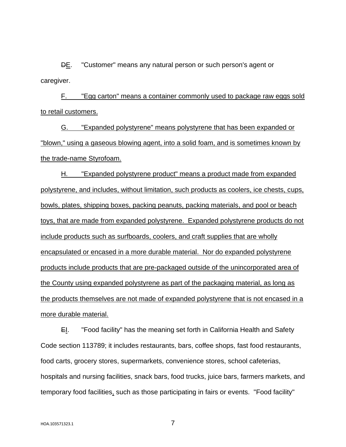DE. "Customer" means any natural person or such person's agent or caregiver.

F. "Egg carton" means a container commonly used to package raw eggs sold to retail customers.

G. "Expanded polystyrene" means polystyrene that has been expanded or "blown," using a gaseous blowing agent, into a solid foam, and is sometimes known by the trade-name Styrofoam.

H. "Expanded polystyrene product" means a product made from expanded polystyrene, and includes, without limitation, such products as coolers, ice chests, cups, bowls, plates, shipping boxes, packing peanuts, packing materials, and pool or beach toys, that are made from expanded polystyrene. Expanded polystyrene products do not include products such as surfboards, coolers, and craft supplies that are wholly encapsulated or encased in a more durable material. Nor do expanded polystyrene products include products that are pre-packaged outside of the unincorporated area of the County using expanded polystyrene as part of the packaging material, as long as the products themselves are not made of expanded polystyrene that is not encased in a more durable material.

E. "Food facility" has the meaning set forth in California Health and Safety Code section 113789; it includes restaurants, bars, coffee shops, fast food restaurants, food carts, grocery stores, supermarkets, convenience stores, school cafeterias, hospitals and nursing facilities, snack bars, food trucks, juice bars, farmers markets, and temporary food facilities, such as those participating in fairs or events. "Food facility"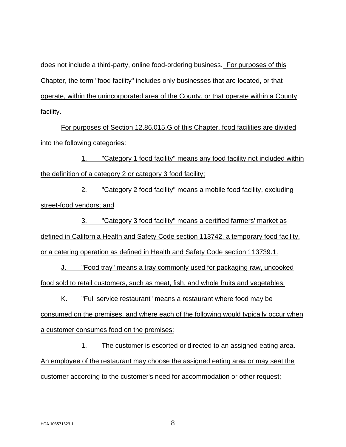does not include a third-party, online food-ordering business. For purposes of this Chapter, the term "food facility" includes only businesses that are located, or that operate, within the unincorporated area of the County, or that operate within a County facility.

For purposes of Section 12.86.015.G of this Chapter, food facilities are divided into the following categories:

1. "Category 1 food facility" means any food facility not included within the definition of a category 2 or category 3 food facility;

2. "Category 2 food facility" means a mobile food facility, excluding street-food vendors; and

3. "Category 3 food facility" means a certified farmers' market as

defined in California Health and Safety Code section 113742, a temporary food facility,

or a catering operation as defined in Health and Safety Code section 113739.1.

J. "Food tray" means a tray commonly used for packaging raw, uncooked food sold to retail customers, such as meat, fish, and whole fruits and vegetables.

K. "Full service restaurant" means a restaurant where food may be consumed on the premises, and where each of the following would typically occur when a customer consumes food on the premises:

1. The customer is escorted or directed to an assigned eating area. An employee of the restaurant may choose the assigned eating area or may seat the customer according to the customer's need for accommodation or other request;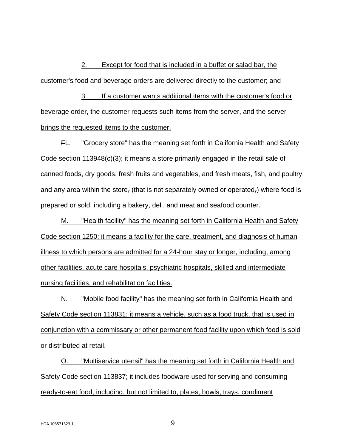2. Except for food that is included in a buffet or salad bar, the customer's food and beverage orders are delivered directly to the customer; and

3. If a customer wants additional items with the customer's food or beverage order, the customer requests such items from the server, and the server brings the requested items to the customer.

FL. "Grocery store" has the meaning set forth in California Health and Safety Code section 113948(c)(3); it means a store primarily engaged in the retail sale of canned foods, dry goods, fresh fruits and vegetables, and fresh meats, fish, and poultry, and any area within the store, (that is not separately owned or operated,) where food is prepared or sold, including a bakery, deli, and meat and seafood counter.

M. "Health facility" has the meaning set forth in California Health and Safety Code section 1250; it means a facility for the care, treatment, and diagnosis of human illness to which persons are admitted for a 24-hour stay or longer, including, among other facilities, acute care hospitals, psychiatric hospitals, skilled and intermediate nursing facilities, and rehabilitation facilities.

N. "Mobile food facility" has the meaning set forth in California Health and Safety Code section 113831; it means a vehicle, such as a food truck, that is used in conjunction with a commissary or other permanent food facility upon which food is sold or distributed at retail.

O. "Multiservice utensil" has the meaning set forth in California Health and Safety Code section 113837; it includes foodware used for serving and consuming ready-to-eat food, including, but not limited to, plates, bowls, trays, condiment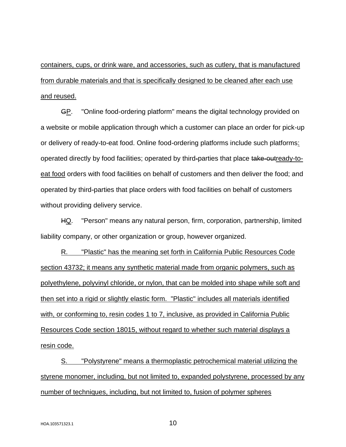containers, cups, or drink ware, and accessories, such as cutlery, that is manufactured from durable materials and that is specifically designed to be cleaned after each use and reused.

GP. "Online food-ordering platform" means the digital technology provided on a website or mobile application through which a customer can place an order for pick-up or delivery of ready-to-eat food. Online food-ordering platforms include such platforms: operated directly by food facilities; operated by third-parties that place take-outready-toeat food orders with food facilities on behalf of customers and then deliver the food; and operated by third-parties that place orders with food facilities on behalf of customers without providing delivery service.

HQ. "Person" means any natural person, firm, corporation, partnership, limited liability company, or other organization or group, however organized.

R. "Plastic" has the meaning set forth in California Public Resources Code section 43732; it means any synthetic material made from organic polymers, such as polyethylene, polyvinyl chloride, or nylon, that can be molded into shape while soft and then set into a rigid or slightly elastic form. "Plastic" includes all materials identified with, or conforming to, resin codes 1 to 7, inclusive, as provided in California Public Resources Code section 18015, without regard to whether such material displays a resin code.

S. "Polystyrene" means a thermoplastic petrochemical material utilizing the styrene monomer, including, but not limited to, expanded polystyrene, processed by any number of techniques, including, but not limited to, fusion of polymer spheres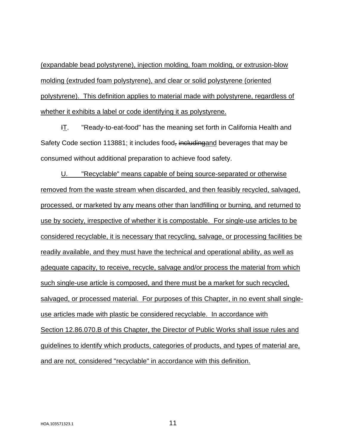(expandable bead polystyrene), injection molding, foam molding, or extrusion-blow molding (extruded foam polystyrene), and clear or solid polystyrene (oriented polystyrene). This definition applies to material made with polystyrene, regardless of whether it exhibits a label or code identifying it as polystyrene.

IT. "Ready-to-eat-food" has the meaning set forth in California Health and Safety Code section 113881; it includes food, including and beverages that may be consumed without additional preparation to achieve food safety.

U. "Recyclable" means capable of being source-separated or otherwise removed from the waste stream when discarded, and then feasibly recycled, salvaged, processed, or marketed by any means other than landfilling or burning, and returned to use by society, irrespective of whether it is compostable. For single-use articles to be considered recyclable, it is necessary that recycling, salvage, or processing facilities be readily available, and they must have the technical and operational ability, as well as adequate capacity, to receive, recycle, salvage and/or process the material from which such single-use article is composed, and there must be a market for such recycled, salvaged, or processed material. For purposes of this Chapter, in no event shall singleuse articles made with plastic be considered recyclable. In accordance with Section 12.86.070.B of this Chapter, the Director of Public Works shall issue rules and guidelines to identify which products, categories of products, and types of material are, and are not, considered "recyclable" in accordance with this definition.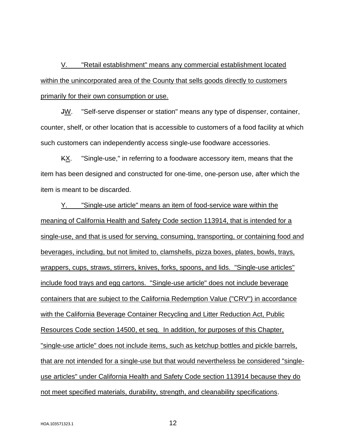V. "Retail establishment" means any commercial establishment located within the unincorporated area of the County that sells goods directly to customers primarily for their own consumption or use.

JW. "Self-serve dispenser or station" means any type of dispenser, container, counter, shelf, or other location that is accessible to customers of a food facility at which such customers can independently access single-use foodware accessories.

KX. "Single-use," in referring to a foodware accessory item, means that the item has been designed and constructed for one-time, one-person use, after which the item is meant to be discarded.

Y. "Single-use article" means an item of food-service ware within the meaning of California Health and Safety Code section 113914, that is intended for a single-use, and that is used for serving, consuming, transporting, or containing food and beverages, including, but not limited to, clamshells, pizza boxes, plates, bowls, trays, wrappers, cups, straws, stirrers, knives, forks, spoons, and lids. "Single-use articles" include food trays and egg cartons. "Single-use article" does not include beverage containers that are subject to the California Redemption Value ("CRV") in accordance with the California Beverage Container Recycling and Litter Reduction Act, Public Resources Code section 14500, et seq. In addition, for purposes of this Chapter, "single-use article" does not include items, such as ketchup bottles and pickle barrels, that are not intended for a single-use but that would nevertheless be considered "singleuse articles" under California Health and Safety Code section 113914 because they do not meet specified materials, durability, strength, and cleanability specifications.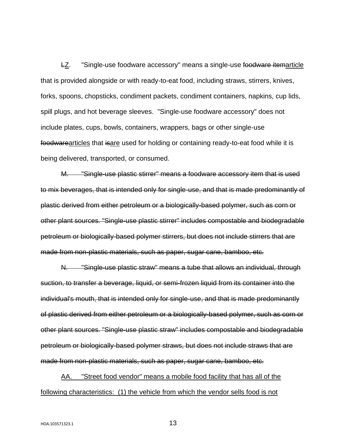LZ. "Single-use foodware accessory" means a single-use foodware itemarticle that is provided alongside or with ready-to-eat food, including straws, stirrers, knives, forks, spoons, chopsticks, condiment packets, condiment containers, napkins, cup lids, spill plugs, and hot beverage sleeves. "Single-use foodware accessory" does not include plates, cups, bowls, containers, wrappers, bags or other single-use foodwarearticles that isare used for holding or containing ready-to-eat food while it is being delivered, transported, or consumed.

M. "Single-use plastic stirrer" means a foodware accessory item that is used to mix beverages, that is intended only for single-use, and that is made predominantly of plastic derived from either petroleum or a biologically-based polymer, such as corn or other plant sources. "Single-use plastic stirrer" includes compostable and biodegradable petroleum or biologically-based polymer stirrers, but does not include stirrers that are made from non-plastic materials, such as paper, sugar cane, bamboo, etc.

N. "Single-use plastic straw" means a tube that allows an individual, through suction, to transfer a beverage, liquid, or semi-frozen liquid from its container into the individual's mouth, that is intended only for single-use, and that is made predominantly of plastic derived from either petroleum or a biologically-based polymer, such as corn or other plant sources. "Single-use plastic straw" includes compostable and biodegradable petroleum or biologically-based polymer straws, but does not include straws that are made from non-plastic materials, such as paper, sugar cane, bamboo, etc.

AA. "Street food vendor" means a mobile food facility that has all of the following characteristics: (1) the vehicle from which the vendor sells food is not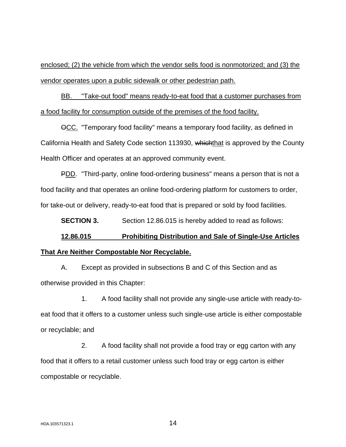enclosed; (2) the vehicle from which the vendor sells food is nonmotorized; and (3) the vendor operates upon a public sidewalk or other pedestrian path.

BB. "Take-out food" means ready-to-eat food that a customer purchases from a food facility for consumption outside of the premises of the food facility.

OCC. "Temporary food facility" means a temporary food facility, as defined in California Health and Safety Code section 113930, whichthat is approved by the County Health Officer and operates at an approved community event.

PDD. "Third-party, online food-ordering business" means a person that is not a food facility and that operates an online food-ordering platform for customers to order, for take-out or delivery, ready-to-eat food that is prepared or sold by food facilities.

**SECTION 3.** Section 12.86.015 is hereby added to read as follows:

# **12.86.015 Prohibiting Distribution and Sale of Single-Use Articles That Are Neither Compostable Nor Recyclable.**

A. Except as provided in subsections B and C of this Section and as otherwise provided in this Chapter:

1. A food facility shall not provide any single-use article with ready-toeat food that it offers to a customer unless such single-use article is either compostable or recyclable; and

2. A food facility shall not provide a food tray or egg carton with any food that it offers to a retail customer unless such food tray or egg carton is either compostable or recyclable.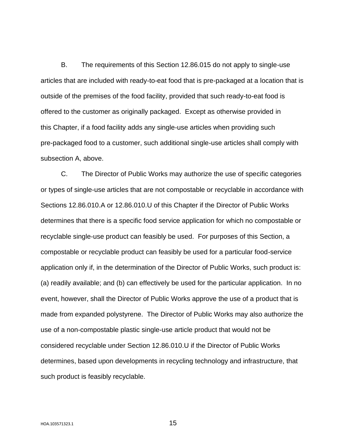B. The requirements of this Section 12.86.015 do not apply to single-use articles that are included with ready-to-eat food that is pre-packaged at a location that is outside of the premises of the food facility, provided that such ready-to-eat food is offered to the customer as originally packaged. Except as otherwise provided in this Chapter, if a food facility adds any single-use articles when providing such pre-packaged food to a customer, such additional single-use articles shall comply with subsection A, above.

C. The Director of Public Works may authorize the use of specific categories or types of single-use articles that are not compostable or recyclable in accordance with Sections 12.86.010.A or 12.86.010.U of this Chapter if the Director of Public Works determines that there is a specific food service application for which no compostable or recyclable single-use product can feasibly be used. For purposes of this Section, a compostable or recyclable product can feasibly be used for a particular food-service application only if, in the determination of the Director of Public Works, such product is: (a) readily available; and (b) can effectively be used for the particular application. In no event, however, shall the Director of Public Works approve the use of a product that is made from expanded polystyrene. The Director of Public Works may also authorize the use of a non-compostable plastic single-use article product that would not be considered recyclable under Section 12.86.010.U if the Director of Public Works determines, based upon developments in recycling technology and infrastructure, that such product is feasibly recyclable.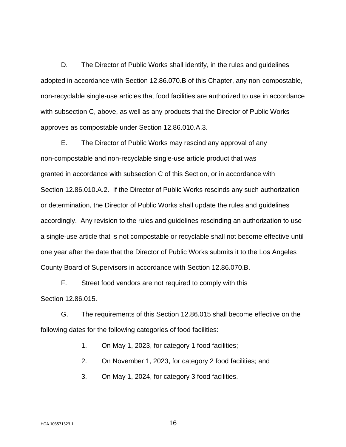D. The Director of Public Works shall identify, in the rules and guidelines adopted in accordance with Section 12.86.070.B of this Chapter, any non-compostable, non-recyclable single-use articles that food facilities are authorized to use in accordance with subsection C, above, as well as any products that the Director of Public Works approves as compostable under Section 12.86.010.A.3.

E. The Director of Public Works may rescind any approval of any non-compostable and non-recyclable single-use article product that was granted in accordance with subsection C of this Section, or in accordance with Section 12.86.010.A.2. If the Director of Public Works rescinds any such authorization or determination, the Director of Public Works shall update the rules and guidelines accordingly. Any revision to the rules and guidelines rescinding an authorization to use a single-use article that is not compostable or recyclable shall not become effective until one year after the date that the Director of Public Works submits it to the Los Angeles County Board of Supervisors in accordance with Section 12.86.070.B.

F. Street food vendors are not required to comply with this Section 12.86.015.

G. The requirements of this Section 12.86.015 shall become effective on the following dates for the following categories of food facilities:

1. On May 1, 2023, for category 1 food facilities;

2. On November 1, 2023, for category 2 food facilities; and

3. On May 1, 2024, for category 3 food facilities.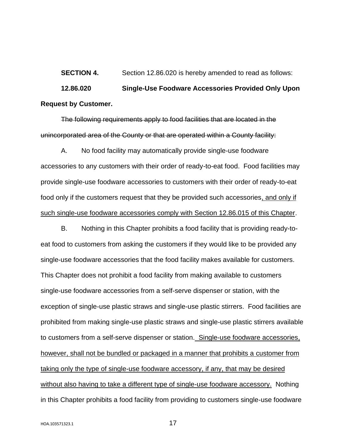**SECTION 4.** Section 12.86.020 is hereby amended to read as follows: **12.86.020 Single-Use Foodware Accessories Provided Only Upon Request by Customer.**

The following requirements apply to food facilities that are located in the unincorporated area of the County or that are operated within a County facility:

A. No food facility may automatically provide single-use foodware accessories to any customers with their order of ready-to-eat food. Food facilities may provide single-use foodware accessories to customers with their order of ready-to-eat food only if the customers request that they be provided such accessories, and only if such single-use foodware accessories comply with Section 12.86.015 of this Chapter.

B. Nothing in this Chapter prohibits a food facility that is providing ready-toeat food to customers from asking the customers if they would like to be provided any single-use foodware accessories that the food facility makes available for customers. This Chapter does not prohibit a food facility from making available to customers single-use foodware accessories from a self-serve dispenser or station, with the exception of single-use plastic straws and single-use plastic stirrers. Food facilities are prohibited from making single-use plastic straws and single-use plastic stirrers available to customers from a self-serve dispenser or station. Single-use foodware accessories, however, shall not be bundled or packaged in a manner that prohibits a customer from taking only the type of single-use foodware accessory, if any, that may be desired without also having to take a different type of single-use foodware accessory. Nothing in this Chapter prohibits a food facility from providing to customers single-use foodware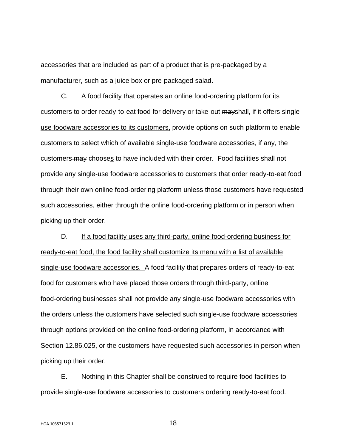accessories that are included as part of a product that is pre-packaged by a manufacturer, such as a juice box or pre-packaged salad.

C. A food facility that operates an online food-ordering platform for its customers to order ready-to-eat food for delivery or take-out mayshall, if it offers singleuse foodware accessories to its customers, provide options on such platform to enable customers to select which of available single-use foodware accessories, if any, the customers may chooses to have included with their order. Food facilities shall not provide any single-use foodware accessories to customers that order ready-to-eat food through their own online food-ordering platform unless those customers have requested such accessories, either through the online food-ordering platform or in person when picking up their order.

D. If a food facility uses any third-party, online food-ordering business for ready-to-eat food, the food facility shall customize its menu with a list of available single-use foodware accessories. A food facility that prepares orders of ready-to-eat food for customers who have placed those orders through third-party, online food-ordering businesses shall not provide any single-use foodware accessories with the orders unless the customers have selected such single-use foodware accessories through options provided on the online food-ordering platform, in accordance with Section 12.86.025, or the customers have requested such accessories in person when picking up their order.

E. Nothing in this Chapter shall be construed to require food facilities to provide single-use foodware accessories to customers ordering ready-to-eat food.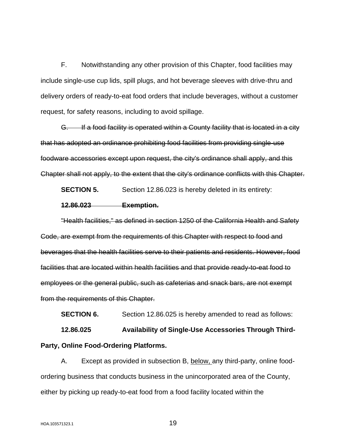F. Notwithstanding any other provision of this Chapter, food facilities may include single-use cup lids, spill plugs, and hot beverage sleeves with drive-thru and delivery orders of ready-to-eat food orders that include beverages, without a customer request, for safety reasons, including to avoid spillage.

G. If a food facility is operated within a County facility that is located in a city that has adopted an ordinance prohibiting food facilities from providing single-use foodware accessories except upon request, the city's ordinance shall apply, and this Chapter shall not apply, to the extent that the city's ordinance conflicts with this Chapter.

**SECTION 5.** Section 12.86.023 is hereby deleted in its entirety:

#### **12.86.023 Exemption.**

"Health facilities," as defined in section 1250 of the California Health and Safety Code, are exempt from the requirements of this Chapter with respect to food and beverages that the health facilities serve to their patients and residents. However, food facilities that are located within health facilities and that provide ready-to-eat food to employees or the general public, such as cafeterias and snack bars, are not exempt from the requirements of this Chapter.

**SECTION 6.** Section 12.86.025 is hereby amended to read as follows:

**12.86.025 Availability of Single-Use Accessories Through Third-Party, Online Food-Ordering Platforms.**

A. Except as provided in subsection B, below, any third-party, online foodordering business that conducts business in the unincorporated area of the County, either by picking up ready-to-eat food from a food facility located within the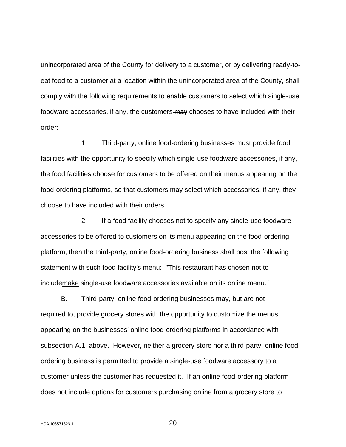unincorporated area of the County for delivery to a customer, or by delivering ready-toeat food to a customer at a location within the unincorporated area of the County, shall comply with the following requirements to enable customers to select which single-use foodware accessories, if any, the customers-may chooses to have included with their order:

1. Third-party, online food-ordering businesses must provide food facilities with the opportunity to specify which single-use foodware accessories, if any, the food facilities choose for customers to be offered on their menus appearing on the food-ordering platforms, so that customers may select which accessories, if any, they choose to have included with their orders.

2. If a food facility chooses not to specify any single-use foodware accessories to be offered to customers on its menu appearing on the food-ordering platform, then the third-party, online food-ordering business shall post the following statement with such food facility's menu: "This restaurant has chosen not to includemake single-use foodware accessories available on its online menu."

B. Third-party, online food-ordering businesses may, but are not required to, provide grocery stores with the opportunity to customize the menus appearing on the businesses' online food-ordering platforms in accordance with subsection A.1, above. However, neither a grocery store nor a third-party, online foodordering business is permitted to provide a single-use foodware accessory to a customer unless the customer has requested it. If an online food-ordering platform does not include options for customers purchasing online from a grocery store to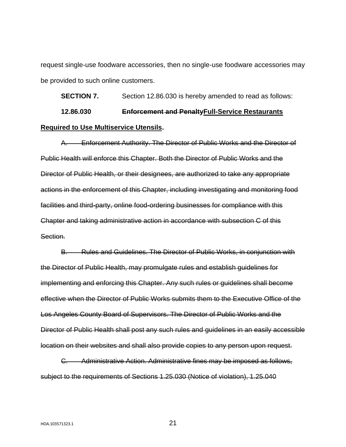request single-use foodware accessories, then no single-use foodware accessories may be provided to such online customers.

**SECTION 7.** Section 12.86.030 is hereby amended to read as follows: **12.86.030 Enforcement and PenaltyFull-Service Restaurants Required to Use Multiservice Utensils.**

A. Enforcement Authority. The Director of Public Works and the Director of Public Health will enforce this Chapter. Both the Director of Public Works and the Director of Public Health, or their designees, are authorized to take any appropriate actions in the enforcement of this Chapter, including investigating and monitoring food facilities and third-party, online food-ordering businesses for compliance with this Chapter and taking administrative action in accordance with subsection C of this Section.

B. Rules and Guidelines. The Director of Public Works, in conjunction with the Director of Public Health, may promulgate rules and establish guidelines for implementing and enforcing this Chapter. Any such rules or guidelines shall become effective when the Director of Public Works submits them to the Executive Office of the Los Angeles County Board of Supervisors. The Director of Public Works and the Director of Public Health shall post any such rules and guidelines in an easily accessible location on their websites and shall also provide copies to any person upon request.

C. Administrative Action. Administrative fines may be imposed as follows, subject to the requirements of Sections 1.25.030 (Notice of violation), 1.25.040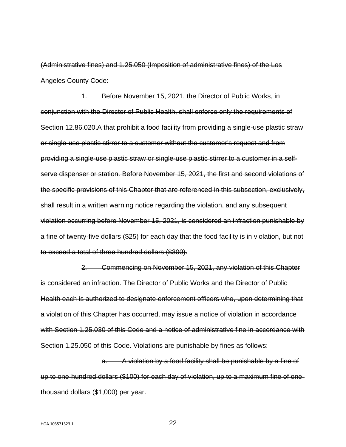(Administrative fines) and 1.25.050 (Imposition of administrative fines) of the Los Angeles County Code:

1. Before November 15, 2021, the Director of Public Works, in conjunction with the Director of Public Health, shall enforce only the requirements of Section 12.86.020.A that prohibit a food facility from providing a single-use plastic straw or single-use plastic stirrer to a customer without the customer's request and from providing a single-use plastic straw or single-use plastic stirrer to a customer in a selfserve dispenser or station. Before November 15, 2021, the first and second violations of the specific provisions of this Chapter that are referenced in this subsection, exclusively, shall result in a written warning notice regarding the violation, and any subsequent violation occurring before November 15, 2021, is considered an infraction punishable by a fine of twenty-five dollars (\$25) for each day that the food facility is in violation, but not to exceed a total of three hundred dollars (\$300).

2. Commencing on November 15, 2021, any violation of this Chapter is considered an infraction. The Director of Public Works and the Director of Public Health each is authorized to designate enforcement officers who, upon determining that a violation of this Chapter has occurred, may issue a notice of violation in accordance with Section 1.25.030 of this Code and a notice of administrative fine in accordance with Section 1.25.050 of this Code. Violations are punishable by fines as follows:

a. A violation by a food facility shall be punishable by a fine of up to one-hundred dollars (\$100) for each day of violation, up to a maximum fine of onethousand dollars (\$1,000) per year.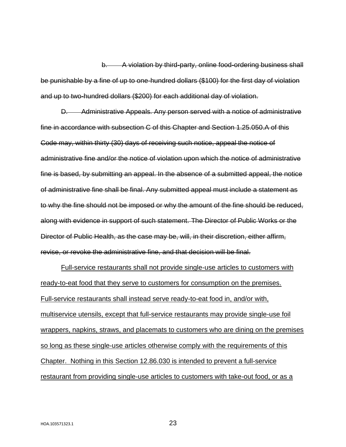b. A violation by third-party, online food-ordering business shall be punishable by a fine of up to one-hundred dollars (\$100) for the first day of violation and up to two-hundred dollars (\$200) for each additional day of violation.

D. Administrative Appeals. Any person served with a notice of administrative fine in accordance with subsection C of this Chapter and Section 1.25.050.A of this Code may, within thirty (30) days of receiving such notice, appeal the notice of administrative fine and/or the notice of violation upon which the notice of administrative fine is based, by submitting an appeal. In the absence of a submitted appeal, the notice of administrative fine shall be final. Any submitted appeal must include a statement as to why the fine should not be imposed or why the amount of the fine should be reduced, along with evidence in support of such statement. The Director of Public Works or the Director of Public Health, as the case may be, will, in their discretion, either affirm, revise, or revoke the administrative fine, and that decision will be final.

Full-service restaurants shall not provide single-use articles to customers with ready-to-eat food that they serve to customers for consumption on the premises. Full-service restaurants shall instead serve ready-to-eat food in, and/or with, multiservice utensils, except that full-service restaurants may provide single-use foil wrappers, napkins, straws, and placemats to customers who are dining on the premises so long as these single-use articles otherwise comply with the requirements of this Chapter. Nothing in this Section 12.86.030 is intended to prevent a full-service restaurant from providing single-use articles to customers with take-out food, or as a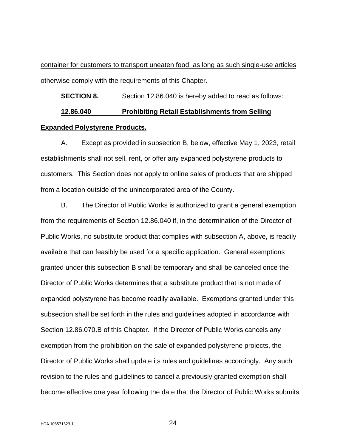container for customers to transport uneaten food, as long as such single-use articles otherwise comply with the requirements of this Chapter.

**SECTION 8.** Section 12.86.040 is hereby added to read as follows: **12.86.040 Prohibiting Retail Establishments from Selling Expanded Polystyrene Products.**

A. Except as provided in subsection B, below, effective May 1, 2023, retail establishments shall not sell, rent, or offer any expanded polystyrene products to customers. This Section does not apply to online sales of products that are shipped from a location outside of the unincorporated area of the County.

B. The Director of Public Works is authorized to grant a general exemption from the requirements of Section 12.86.040 if, in the determination of the Director of Public Works, no substitute product that complies with subsection A, above, is readily available that can feasibly be used for a specific application. General exemptions granted under this subsection B shall be temporary and shall be canceled once the Director of Public Works determines that a substitute product that is not made of expanded polystyrene has become readily available. Exemptions granted under this subsection shall be set forth in the rules and guidelines adopted in accordance with Section 12.86.070.B of this Chapter. If the Director of Public Works cancels any exemption from the prohibition on the sale of expanded polystyrene projects, the Director of Public Works shall update its rules and guidelines accordingly. Any such revision to the rules and guidelines to cancel a previously granted exemption shall become effective one year following the date that the Director of Public Works submits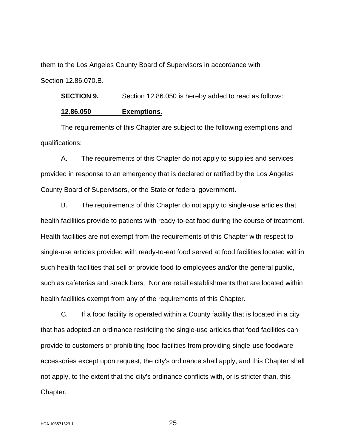them to the Los Angeles County Board of Supervisors in accordance with Section 12.86.070.B.

**SECTION 9.** Section 12.86.050 is hereby added to read as follows:

### **12.86.050 Exemptions.**

The requirements of this Chapter are subject to the following exemptions and qualifications:

A. The requirements of this Chapter do not apply to supplies and services provided in response to an emergency that is declared or ratified by the Los Angeles County Board of Supervisors, or the State or federal government.

B. The requirements of this Chapter do not apply to single-use articles that health facilities provide to patients with ready-to-eat food during the course of treatment. Health facilities are not exempt from the requirements of this Chapter with respect to single-use articles provided with ready-to-eat food served at food facilities located within such health facilities that sell or provide food to employees and/or the general public, such as cafeterias and snack bars. Nor are retail establishments that are located within health facilities exempt from any of the requirements of this Chapter.

C. If a food facility is operated within a County facility that is located in a city that has adopted an ordinance restricting the single-use articles that food facilities can provide to customers or prohibiting food facilities from providing single-use foodware accessories except upon request, the city's ordinance shall apply, and this Chapter shall not apply, to the extent that the city's ordinance conflicts with, or is stricter than, this Chapter.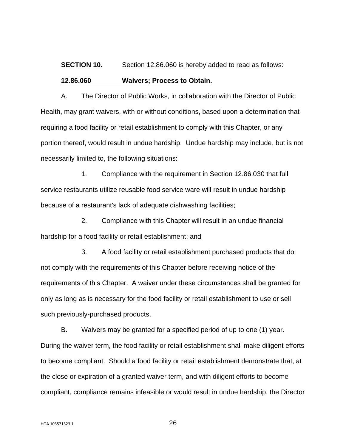# **SECTION 10.** Section 12.86.060 is hereby added to read as follows:

#### **12.86.060 Waivers; Process to Obtain.**

A. The Director of Public Works, in collaboration with the Director of Public Health, may grant waivers, with or without conditions, based upon a determination that requiring a food facility or retail establishment to comply with this Chapter, or any portion thereof, would result in undue hardship. Undue hardship may include, but is not necessarily limited to, the following situations:

1. Compliance with the requirement in Section 12.86.030 that full service restaurants utilize reusable food service ware will result in undue hardship because of a restaurant's lack of adequate dishwashing facilities;

2. Compliance with this Chapter will result in an undue financial hardship for a food facility or retail establishment; and

3. A food facility or retail establishment purchased products that do not comply with the requirements of this Chapter before receiving notice of the requirements of this Chapter. A waiver under these circumstances shall be granted for only as long as is necessary for the food facility or retail establishment to use or sell such previously-purchased products.

B. Waivers may be granted for a specified period of up to one (1) year. During the waiver term, the food facility or retail establishment shall make diligent efforts to become compliant. Should a food facility or retail establishment demonstrate that, at the close or expiration of a granted waiver term, and with diligent efforts to become compliant, compliance remains infeasible or would result in undue hardship, the Director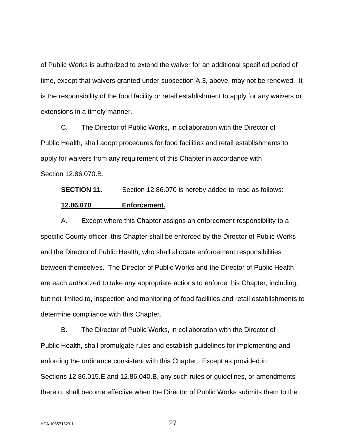of Public Works is authorized to extend the waiver for an additional specified period of time, except that waivers granted under subsection A.3, above, may not be renewed. It is the responsibility of the food facility or retail establishment to apply for any waivers or extensions in a timely manner.

C. The Director of Public Works, in collaboration with the Director of Public Health, shall adopt procedures for food facilities and retail establishments to apply for waivers from any requirement of this Chapter in accordance with Section 12.86.070.B.

**SECTION 11.** Section 12.86.070 is hereby added to read as follows: **12.86.070 Enforcement.**

A. Except where this Chapter assigns an enforcement responsibility to a specific County officer, this Chapter shall be enforced by the Director of Public Works and the Director of Public Health, who shall allocate enforcement responsibilities between themselves. The Director of Public Works and the Director of Public Health are each authorized to take any appropriate actions to enforce this Chapter, including, but not limited to, inspection and monitoring of food facilities and retail establishments to determine compliance with this Chapter.

B. The Director of Public Works, in collaboration with the Director of Public Health, shall promulgate rules and establish guidelines for implementing and enforcing the ordinance consistent with this Chapter. Except as provided in Sections 12.86.015.E and 12.86.040.B, any such rules or guidelines, or amendments thereto, shall become effective when the Director of Public Works submits them to the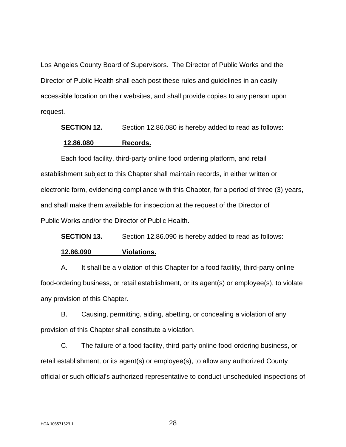Los Angeles County Board of Supervisors. The Director of Public Works and the Director of Public Health shall each post these rules and guidelines in an easily accessible location on their websites, and shall provide copies to any person upon request.

**SECTION 12.** Section 12.86.080 is hereby added to read as follows:

#### **12.86.080 Records.**

Each food facility, third-party online food ordering platform, and retail establishment subject to this Chapter shall maintain records, in either written or electronic form, evidencing compliance with this Chapter, for a period of three (3) years, and shall make them available for inspection at the request of the Director of Public Works and/or the Director of Public Health.

**SECTION 13.** Section 12.86.090 is hereby added to read as follows:

#### **12.86.090 Violations.**

A. It shall be a violation of this Chapter for a food facility, third-party online food-ordering business, or retail establishment, or its agent(s) or employee(s), to violate any provision of this Chapter.

B. Causing, permitting, aiding, abetting, or concealing a violation of any provision of this Chapter shall constitute a violation.

C. The failure of a food facility, third-party online food-ordering business, or retail establishment, or its agent(s) or employee(s), to allow any authorized County official or such official's authorized representative to conduct unscheduled inspections of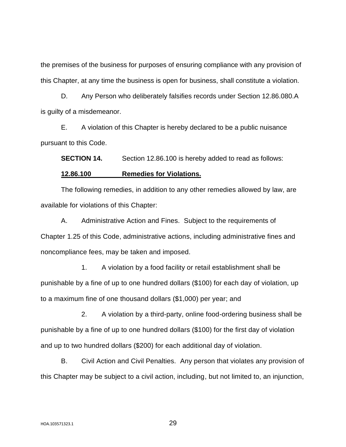the premises of the business for purposes of ensuring compliance with any provision of this Chapter, at any time the business is open for business, shall constitute a violation.

D. Any Person who deliberately falsifies records under Section 12.86.080.A is guilty of a misdemeanor.

E. A violation of this Chapter is hereby declared to be a public nuisance pursuant to this Code.

**SECTION 14.** Section 12.86.100 is hereby added to read as follows:

# **12.86.100 Remedies for Violations.**

The following remedies, in addition to any other remedies allowed by law, are available for violations of this Chapter:

A. Administrative Action and Fines. Subject to the requirements of Chapter 1.25 of this Code, administrative actions, including administrative fines and noncompliance fees, may be taken and imposed.

1. A violation by a food facility or retail establishment shall be punishable by a fine of up to one hundred dollars (\$100) for each day of violation, up to a maximum fine of one thousand dollars (\$1,000) per year; and

2. A violation by a third-party, online food-ordering business shall be punishable by a fine of up to one hundred dollars (\$100) for the first day of violation and up to two hundred dollars (\$200) for each additional day of violation.

B. Civil Action and Civil Penalties. Any person that violates any provision of this Chapter may be subject to a civil action, including, but not limited to, an injunction,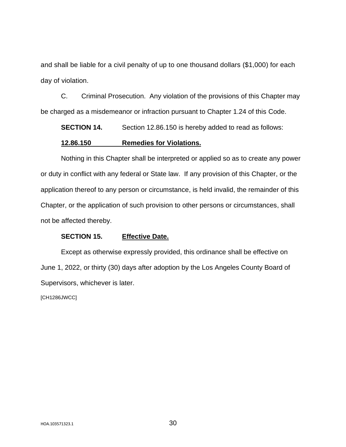and shall be liable for a civil penalty of up to one thousand dollars (\$1,000) for each day of violation.

C. Criminal Prosecution. Any violation of the provisions of this Chapter may be charged as a misdemeanor or infraction pursuant to Chapter 1.24 of this Code.

**SECTION 14.** Section 12.86.150 is hereby added to read as follows:

# **12.86.150 Remedies for Violations.**

Nothing in this Chapter shall be interpreted or applied so as to create any power or duty in conflict with any federal or State law. If any provision of this Chapter, or the application thereof to any person or circumstance, is held invalid, the remainder of this Chapter, or the application of such provision to other persons or circumstances, shall not be affected thereby.

# **SECTION 15. Effective Date.**

Except as otherwise expressly provided, this ordinance shall be effective on June 1, 2022, or thirty (30) days after adoption by the Los Angeles County Board of Supervisors, whichever is later.

[CH1286JWCC]